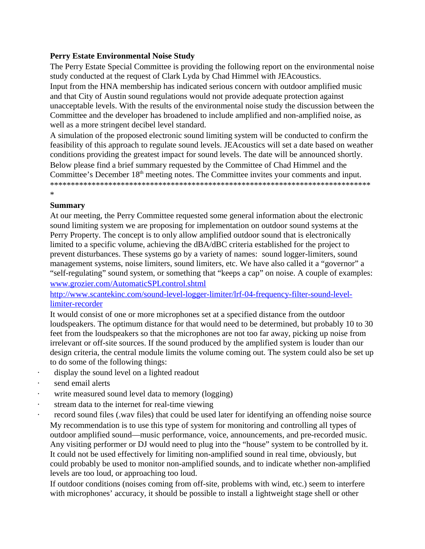### **Perry Estate Environmental Noise Study**

The Perry Estate Special Committee is providing the following report on the environmental noise study conducted at the request of Clark Lyda by Chad Himmel with JEAcoustics.

Input from the HNA membership has indicated serious concern with outdoor amplified music and that City of Austin sound regulations would not provide adequate protection against unacceptable levels. With the results of the environmental noise study the discussion between the Committee and the developer has broadened to include amplified and non-amplified noise, as well as a more stringent decibel level standard.

A simulation of the proposed electronic sound limiting system will be conducted to confirm the feasibility of this approach to regulate sound levels. JEAcoustics will set a date based on weather conditions providing the greatest impact for sound levels. The date will be announced shortly. Below please find a brief summary requested by the Committee of Chad Himmel and the Committee's December 18<sup>th</sup> meeting notes. The Committee invites your comments and input. \*\*\*\*\*\*\*\*\*\*\*\*\*\*\*\*\*\*\*\*\*\*\*\*\*\*\*\*\*\*\*\*\*\*\*\*\*\*\*\*\*\*\*\*\*\*\*\*\*\*\*\*\*\*\*\*\*\*\*\*\*\*\*\*\*\*\*\*\*\*\*\*\*\*\*\*\*

# **Summary**

\*

## At our meeting, the Perry Committee requested some general information about the electronic sound limiting system we are proposing for implementation on outdoor sound systems at the Perry Property. The concept is to only allow amplified outdoor sound that is electronically limited to a specific volume, achieving the dBA/dBC criteria established for the project to prevent disturbances. These systems go by a variety of names: sound logger-limiters, sound management systems, noise limiters, sound limiters, etc. We have also called it a "governor" a "self-regulating" sound system, or something that "keeps a cap" on noise. A couple of examples: [www.grozier.com/AutomaticSPLcontrol.shtml](https://wmail.austin.utexas.edu/owa/redir.aspx?C=Ms1Dbzw260ynjQwQeamyx0mhcxSJvc8IEEq3quFMWyLHKQJKmGuk-1M56UDwhBevOpppwYx2R7k.&URL=http%3A%2F%2Fwww.grozier.com%2FAutomaticSPLcontrol.shtml)

[http://www.scantekinc.com/sound-level-logger-limiter/lrf-04-frequency-filter-sound-level](https://wmail.austin.utexas.edu/owa/redir.aspx?C=Ms1Dbzw260ynjQwQeamyx0mhcxSJvc8IEEq3quFMWyLHKQJKmGuk-1M56UDwhBevOpppwYx2R7k.&URL=http%3A%2F%2Fwww.scantekinc.com%2Fsound-level-logger-limiter%2Flrf-04-frequency-filter-sound-level-limiter-recorder)[limiter-recorder](https://wmail.austin.utexas.edu/owa/redir.aspx?C=Ms1Dbzw260ynjQwQeamyx0mhcxSJvc8IEEq3quFMWyLHKQJKmGuk-1M56UDwhBevOpppwYx2R7k.&URL=http%3A%2F%2Fwww.scantekinc.com%2Fsound-level-logger-limiter%2Flrf-04-frequency-filter-sound-level-limiter-recorder)

It would consist of one or more microphones set at a specified distance from the outdoor loudspeakers. The optimum distance for that would need to be determined, but probably 10 to 30 feet from the loudspeakers so that the microphones are not too far away, picking up noise from irrelevant or off-site sources. If the sound produced by the amplified system is louder than our design criteria, the central module limits the volume coming out. The system could also be set up to do some of the following things:

- display the sound level on a lighted readout
- send email alerts
- write measured sound level data to memory (logging)
- stream data to the internet for real-time viewing
- record sound files (.wav files) that could be used later for identifying an offending noise source My recommendation is to use this type of system for monitoring and controlling all types of outdoor amplified sound—music performance, voice, announcements, and pre-recorded music. Any visiting performer or DJ would need to plug into the "house" system to be controlled by it. It could not be used effectively for limiting non-amplified sound in real time, obviously, but could probably be used to monitor non-amplified sounds, and to indicate whether non-amplified levels are too loud, or approaching too loud.

If outdoor conditions (noises coming from off-site, problems with wind, etc.) seem to interfere with microphones' accuracy, it should be possible to install a lightweight stage shell or other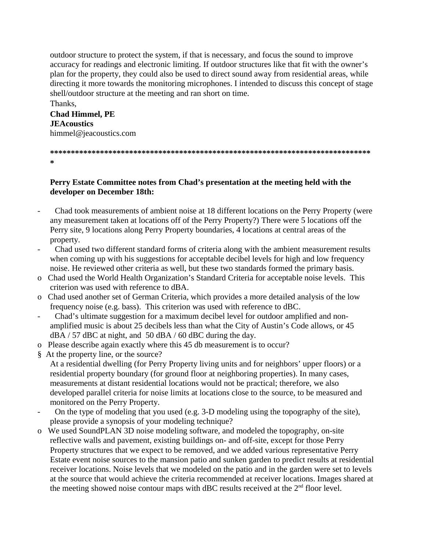outdoor structure to protect the system, if that is necessary, and focus the sound to improve accuracy for readings and electronic limiting. If outdoor structures like that fit with the owner's plan for the property, they could also be used to direct sound away from residential areas, while directing it more towards the monitoring microphones. I intended to discuss this concept of stage shell/outdoor structure at the meeting and ran short on time.

#### Thanks, **Chad Himmel, PE JEAcoustics** himmel@jeacoustics.com

**\*\*\*\*\*\*\*\*\*\*\*\*\*\*\*\*\*\*\*\*\*\*\*\*\*\*\*\*\*\*\*\*\*\*\*\*\*\*\*\*\*\*\*\*\*\*\*\*\*\*\*\*\*\*\*\*\*\*\*\*\*\*\*\*\*\*\*\*\*\*\*\*\*\*\*\*\* \***

#### **Perry Estate Committee notes from Chad's presentation at the meeting held with the developer on December 18th:**

- Chad took measurements of ambient noise at 18 different locations on the Perry Property (were any measurement taken at locations off of the Perry Property?) There were 5 locations off the Perry site, 9 locations along Perry Property boundaries, 4 locations at central areas of the property.
- Chad used two different standard forms of criteria along with the ambient measurement results when coming up with his suggestions for acceptable decibel levels for high and low frequency noise. He reviewed other criteria as well, but these two standards formed the primary basis.
- o Chad used the World Health Organization's Standard Criteria for acceptable noise levels. This criterion was used with reference to dBA.
- o Chad used another set of German Criteria, which provides a more detailed analysis of the low frequency noise (e.g. bass). This criterion was used with reference to dBC.
- Chad's ultimate suggestion for a maximum decibel level for outdoor amplified and nonamplified music is about 25 decibels less than what the City of Austin's Code allows, or 45 dBA / 57 dBC at night, and 50 dBA / 60 dBC during the day.
- o Please describe again exactly where this 45 db measurement is to occur?
- § At the property line, or the source?
	- At a residential dwelling (for Perry Property living units and for neighbors' upper floors) or a residential property boundary (for ground floor at neighboring properties). In many cases, measurements at distant residential locations would not be practical; therefore, we also developed parallel criteria for noise limits at locations close to the source, to be measured and monitored on the Perry Property.
- On the type of modeling that you used (e.g. 3-D modeling using the topography of the site), please provide a synopsis of your modeling technique?
- o We used SoundPLAN 3D noise modeling software, and modeled the topography, on-site reflective walls and pavement, existing buildings on- and off-site, except for those Perry Property structures that we expect to be removed, and we added various representative Perry Estate event noise sources to the mansion patio and sunken garden to predict results at residential receiver locations. Noise levels that we modeled on the patio and in the garden were set to levels at the source that would achieve the criteria recommended at receiver locations. Images shared at the meeting showed noise contour maps with dBC results received at the  $2<sup>nd</sup>$  floor level.